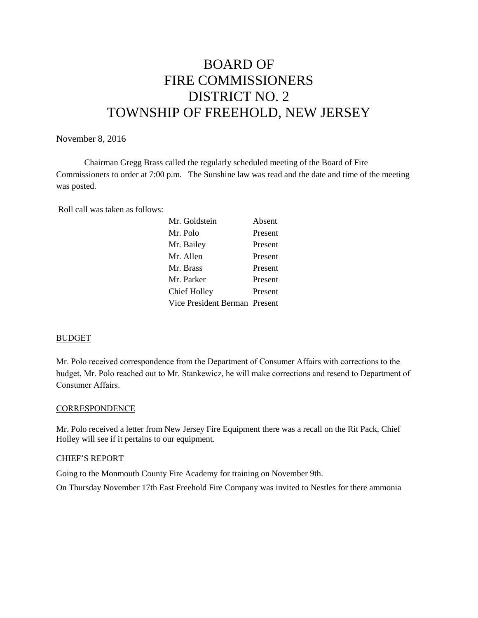# BOARD OF FIRE COMMISSIONERS DISTRICT NO. 2 TOWNSHIP OF FREEHOLD, NEW JERSEY

## November 8, 2016

Chairman Gregg Brass called the regularly scheduled meeting of the Board of Fire Commissioners to order at 7:00 p.m. The Sunshine law was read and the date and time of the meeting was posted.

Roll call was taken as follows:

| Absent                        |
|-------------------------------|
| Present                       |
| Present                       |
| Present                       |
| Present                       |
| Present                       |
| Present                       |
| Vice President Berman Present |
|                               |

#### BUDGET

Mr. Polo received correspondence from the Department of Consumer Affairs with corrections to the budget, Mr. Polo reached out to Mr. Stankewicz, he will make corrections and resend to Department of Consumer Affairs.

#### **CORRESPONDENCE**

Mr. Polo received a letter from New Jersey Fire Equipment there was a recall on the Rit Pack, Chief Holley will see if it pertains to our equipment.

#### CHIEF'S REPORT

Going to the Monmouth County Fire Academy for training on November 9th.

On Thursday November 17th East Freehold Fire Company was invited to Nestles for there ammonia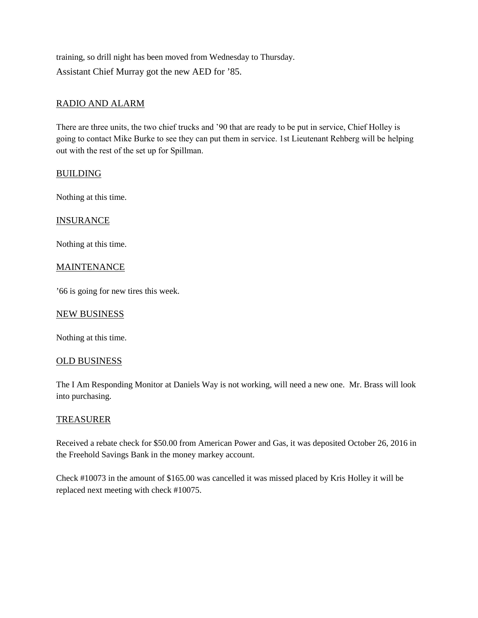training, so drill night has been moved from Wednesday to Thursday. Assistant Chief Murray got the new AED for '85.

# RADIO AND ALARM

There are three units, the two chief trucks and '90 that are ready to be put in service, Chief Holley is going to contact Mike Burke to see they can put them in service. 1st Lieutenant Rehberg will be helping out with the rest of the set up for Spillman.

# **BUILDING**

Nothing at this time.

## INSURANCE

Nothing at this time.

## MAINTENANCE

'66 is going for new tires this week.

#### NEW BUSINESS

Nothing at this time.

#### OLD BUSINESS

The I Am Responding Monitor at Daniels Way is not working, will need a new one. Mr. Brass will look into purchasing.

# TREASURER

Received a rebate check for \$50.00 from American Power and Gas, it was deposited October 26, 2016 in the Freehold Savings Bank in the money markey account.

Check #10073 in the amount of \$165.00 was cancelled it was missed placed by Kris Holley it will be replaced next meeting with check #10075.